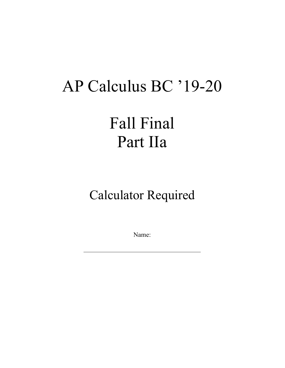## AP Calculus BC '19-20

Fall Final Part IIa

Calculator Required

Name: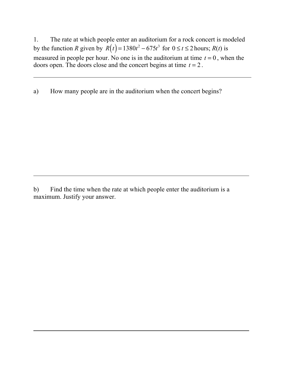1. The rate at which people enter an auditorium for a rock concert is modeled by the function *R* given by  $R(t) = 1380t^2 - 675t^3$  for  $0 \le t \le 2$  hours;  $R(t)$  is measured in people per hour. No one is in the auditorium at time  $t = 0$ , when the doors open. The doors close and the concert begins at time  $t = 2$ .

a) How many people are in the auditorium when the concert begins?

b) Find the time when the rate at which people enter the auditorium is a maximum. Justify your answer.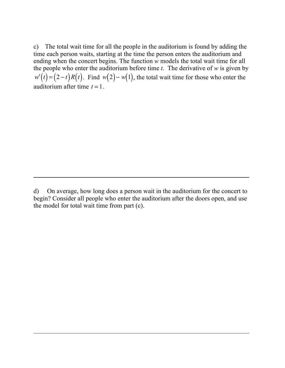c) The total wait time for all the people in the auditorium is found by adding the time each person waits, starting at the time the person enters the auditorium and ending when the concert begins. The function *w* models the total wait time for all the people who enter the auditorium before time *t*. The derivative of *w* is given by  $w'(t) = (2-t)R(t)$ . Find  $w(2) - w(1)$ , the total wait time for those who enter the auditorium after time  $t = 1$ .

d) On average, how long does a person wait in the auditorium for the concert to begin? Consider all people who enter the auditorium after the doors open, and use the model for total wait time from part (c).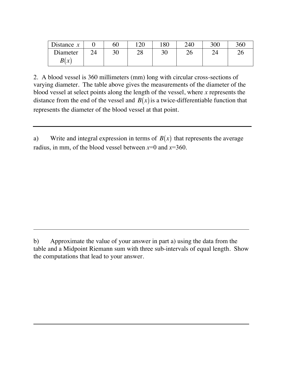| Distance $x$ |    | 60 | 12 $\cap$ | 180 | 240 | 300 | 360 |
|--------------|----|----|-----------|-----|-----|-----|-----|
| Diameter     | 24 | 30 | າ໑<br>20  | 30  | 26  |     | ∠∪  |
| B(x)         |    |    |           |     |     |     |     |

2. A blood vessel is 360 millimeters (mm) long with circular cross-sections of varying diameter. The table above gives the measurements of the diameter of the blood vessel at select points along the length of the vessel, where *x* represents the distance from the end of the vessel and  $B(x)$  is a twice-differentiable function that represents the diameter of the blood vessel at that point.

a) Write and integral expression in terms of  $B(x)$  that represents the average radius, in mm, of the blood vessel between  $x=0$  and  $x=360$ .

b) Approximate the value of your answer in part a) using the data from the table and a Midpoint Riemann sum with three sub-intervals of equal length. Show the computations that lead to your answer.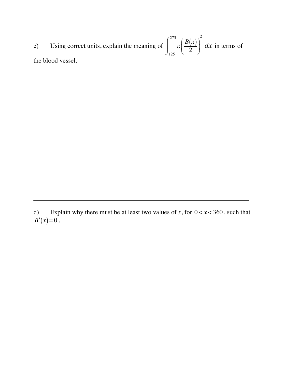c) Using correct units, explain the meaning of  $\left[\begin{array}{c} \n\pi \left( \frac{B(x)}{2} \right) \, dx \n\end{array} \right]$  in terms of the blood vessel. 2  $\sqrt{}$  $\vert$  $\overline{a}$  $\overline{a}$ 125  $\int^{275}$  $\int$ 2 *dx*

d) Explain why there must be at least two values of x, for  $0 < x < 360$ , such that  $B'(x)=0$ .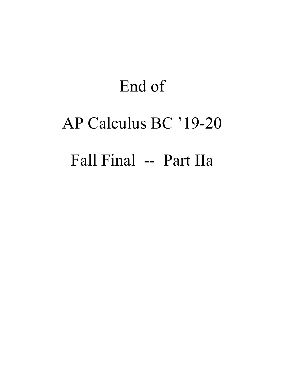# End of AP Calculus BC '19-20 Fall Final -- Part IIa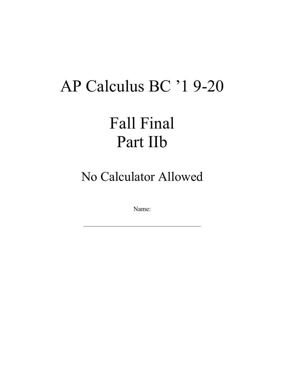#### AP Calculus BC '1 9-20

## Fall Final Part IIb

No Calculator Allowed

Name: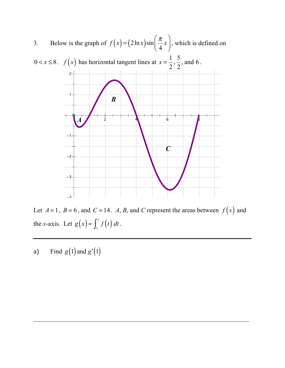

Let  $A = 1$ ,  $B = 6$ , and  $C = 14$ . A, B, and C represent the areas between  $f(x)$  and the *x*-axis. Let  $g(x) = \int_1^x f(t) dt$ .  $\int_1^x$ 

a) Find  $g(1)$  and  $g'(1)$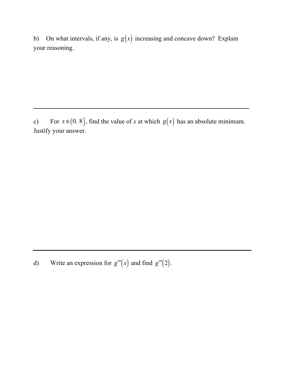b) On what intervals, if any, is  $g(x)$  increasing and concave down? Explain your reasoning.

c) For  $x \in (0, 8]$ , find the value of *x* at which  $g(x)$  has an absolute minimum. Justify your answer.

d) Write an expression for  $g''(x)$  and find  $g''(2)$ .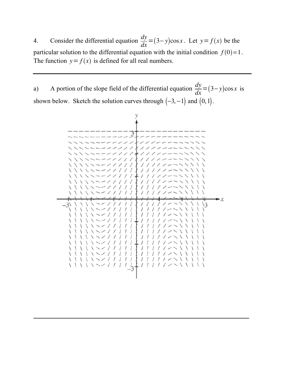4. Consider the differential equation  $\frac{dy}{dx} = (3 - y)\cos x$ . Let  $y = f(x)$  be the particular solution to the differential equation with the initial condition  $f(0)=1$ . The function  $y = f(x)$  is defined for all real numbers.

a) A portion of the slope field of the differential equation  $\frac{dy}{dx} = (3 - y)\cos x$  is shown below. Sketch the solution curves through  $(-3, -1)$  and  $(0, 1)$ .

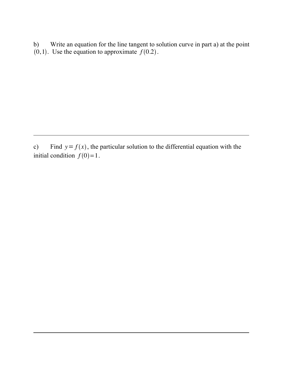b) Write an equation for the line tangent to solution curve in part a) at the point  $(0, 1)$ . Use the equation to approximate  $f(0.2)$ .

c) Find  $y = f(x)$ , the particular solution to the differential equation with the initial condition  $f(0)=1$ .